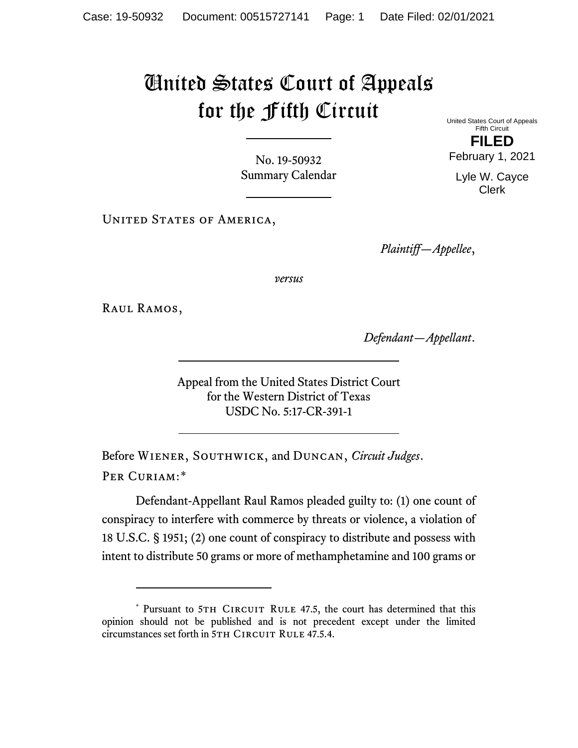# United States Court of Appeals for the Fifth Circuit

No. 19-50932 Summary Calendar

UNITED STATES OF AMERICA,

United States Court of Appeals Fifth Circuit **FILED**

February 1, 2021

Lyle W. Cayce Clerk

*Plaintiff—Appellee*,

*versus*

Raul Ramos,

*Defendant—Appellant*.

Appeal from the United States District Court for the Western District of Texas USDC No. 5:17-CR-391-1

Before Wiener, Southwick, and Duncan, *Circuit Judges*. Per Curiam:[\\*](#page-0-0)

Defendant-Appellant Raul Ramos pleaded guilty to: (1) one count of conspiracy to interfere with commerce by threats or violence, a violation of 18 U.S.C. § 1951; (2) one count of conspiracy to distribute and possess with intent to distribute 50 grams or more of methamphetamine and 100 grams or

<span id="page-0-0"></span><sup>\*</sup> Pursuant to 5TH CIRCUIT RULE 47.5, the court has determined that this opinion should not be published and is not precedent except under the limited circumstances set forth in 5TH CIRCUIT RULE 47.5.4.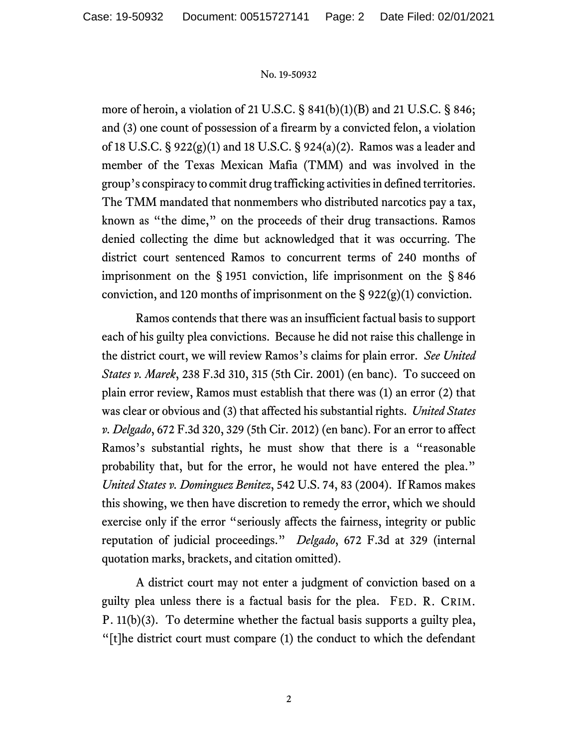more of heroin, a violation of 21 U.S.C. § 841(b)(1)(B) and 21 U.S.C. § 846; and (3) one count of possession of a firearm by a convicted felon, a violation of 18 U.S.C. § 922(g)(1) and 18 U.S.C. § 924(a)(2). Ramos was a leader and member of the Texas Mexican Mafia (TMM) and was involved in the group's conspiracy to commit drug trafficking activities in defined territories. The TMM mandated that nonmembers who distributed narcotics pay a tax, known as "the dime," on the proceeds of their drug transactions. Ramos denied collecting the dime but acknowledged that it was occurring. The district court sentenced Ramos to concurrent terms of 240 months of imprisonment on the § 1951 conviction, life imprisonment on the § 846 conviction, and 120 months of imprisonment on the  $\S 922(g)(1)$  conviction.

Ramos contends that there was an insufficient factual basis to support each of his guilty plea convictions. Because he did not raise this challenge in the district court, we will review Ramos's claims for plain error. *See United States v. Marek*, 238 F.3d 310, 315 (5th Cir. 2001) (en banc). To succeed on plain error review, Ramos must establish that there was (1) an error (2) that was clear or obvious and (3) that affected his substantial rights. *United States v. Delgado*, 672 F.3d 320, 329 (5th Cir. 2012) (en banc). For an error to affect Ramos's substantial rights, he must show that there is a "reasonable probability that, but for the error, he would not have entered the plea." *United States v. Dominguez Benitez*, 542 U.S. 74, 83 (2004). If Ramos makes this showing, we then have discretion to remedy the error, which we should exercise only if the error "seriously affects the fairness, integrity or public reputation of judicial proceedings." *Delgado*, 672 F.3d at 329 (internal quotation marks, brackets, and citation omitted).

A district court may not enter a judgment of conviction based on a guilty plea unless there is a factual basis for the plea. FED. R. CRIM. P. 11(b)(3). To determine whether the factual basis supports a guilty plea, "[t]he district court must compare (1) the conduct to which the defendant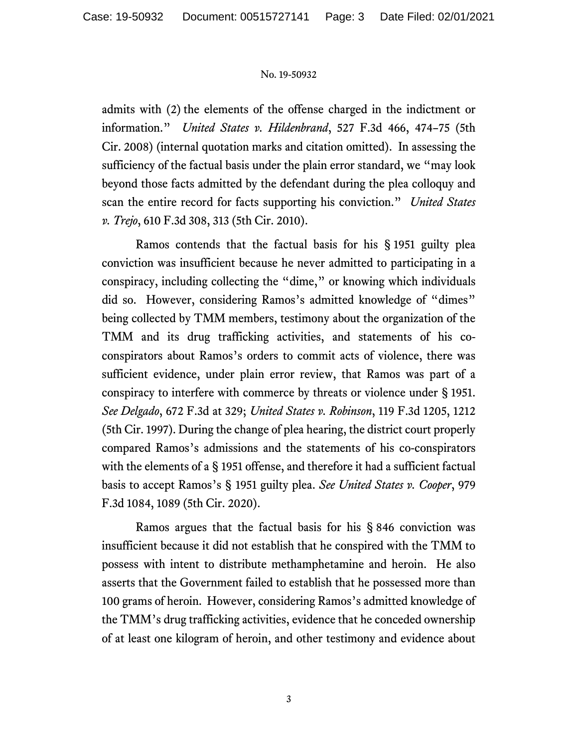admits with (2) the elements of the offense charged in the indictment or information." *United States v. Hildenbrand*, 527 F.3d 466, 474–75 (5th Cir. 2008) (internal quotation marks and citation omitted). In assessing the sufficiency of the factual basis under the plain error standard, we "may look beyond those facts admitted by the defendant during the plea colloquy and scan the entire record for facts supporting his conviction." *United States v. Trejo*, 610 F.3d 308, 313 (5th Cir. 2010).

Ramos contends that the factual basis for his § 1951 guilty plea conviction was insufficient because he never admitted to participating in a conspiracy, including collecting the "dime," or knowing which individuals did so. However, considering Ramos's admitted knowledge of "dimes" being collected by TMM members, testimony about the organization of the TMM and its drug trafficking activities, and statements of his coconspirators about Ramos's orders to commit acts of violence, there was sufficient evidence, under plain error review, that Ramos was part of a conspiracy to interfere with commerce by threats or violence under § 1951. *See Delgado*, 672 F.3d at 329; *United States v. Robinson*, 119 F.3d 1205, 1212 (5th Cir. 1997). During the change of plea hearing, the district court properly compared Ramos's admissions and the statements of his co-conspirators with the elements of a § 1951 offense, and therefore it had a sufficient factual basis to accept Ramos's § 1951 guilty plea. *See United States v. Cooper*, 979 F.3d 1084, 1089 (5th Cir. 2020).

Ramos argues that the factual basis for his § 846 conviction was insufficient because it did not establish that he conspired with the TMM to possess with intent to distribute methamphetamine and heroin. He also asserts that the Government failed to establish that he possessed more than 100 grams of heroin. However, considering Ramos's admitted knowledge of the TMM's drug trafficking activities, evidence that he conceded ownership of at least one kilogram of heroin, and other testimony and evidence about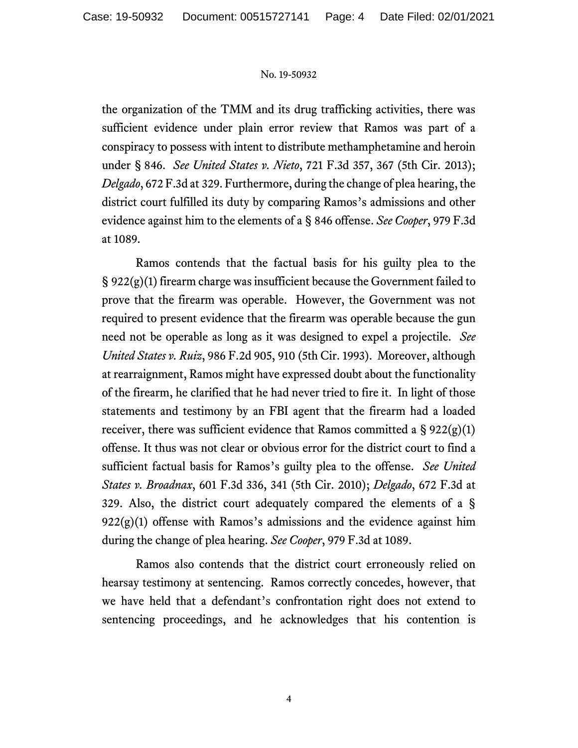the organization of the TMM and its drug trafficking activities, there was sufficient evidence under plain error review that Ramos was part of a conspiracy to possess with intent to distribute methamphetamine and heroin under § 846. *See United States v. Nieto*, 721 F.3d 357, 367 (5th Cir. 2013); *Delgado*, 672 F.3d at 329. Furthermore, during the change of plea hearing, the district court fulfilled its duty by comparing Ramos's admissions and other evidence against him to the elements of a § 846 offense. *See Cooper*, 979 F.3d at 1089.

Ramos contends that the factual basis for his guilty plea to the § 922(g)(1) firearm charge was insufficient because the Government failed to prove that the firearm was operable. However, the Government was not required to present evidence that the firearm was operable because the gun need not be operable as long as it was designed to expel a projectile. *See United States v. Ruiz*, 986 F.2d 905, 910 (5th Cir. 1993). Moreover, although at rearraignment, Ramos might have expressed doubt about the functionality of the firearm, he clarified that he had never tried to fire it. In light of those statements and testimony by an FBI agent that the firearm had a loaded receiver, there was sufficient evidence that Ramos committed a  $\S 922(g)(1)$ offense. It thus was not clear or obvious error for the district court to find a sufficient factual basis for Ramos's guilty plea to the offense. *See United States v. Broadnax*, 601 F.3d 336, 341 (5th Cir. 2010); *Delgado*, 672 F.3d at 329. Also, the district court adequately compared the elements of a §  $922(g)(1)$  offense with Ramos's admissions and the evidence against him during the change of plea hearing. *See Cooper*, 979 F.3d at 1089.

Ramos also contends that the district court erroneously relied on hearsay testimony at sentencing. Ramos correctly concedes, however, that we have held that a defendant's confrontation right does not extend to sentencing proceedings, and he acknowledges that his contention is